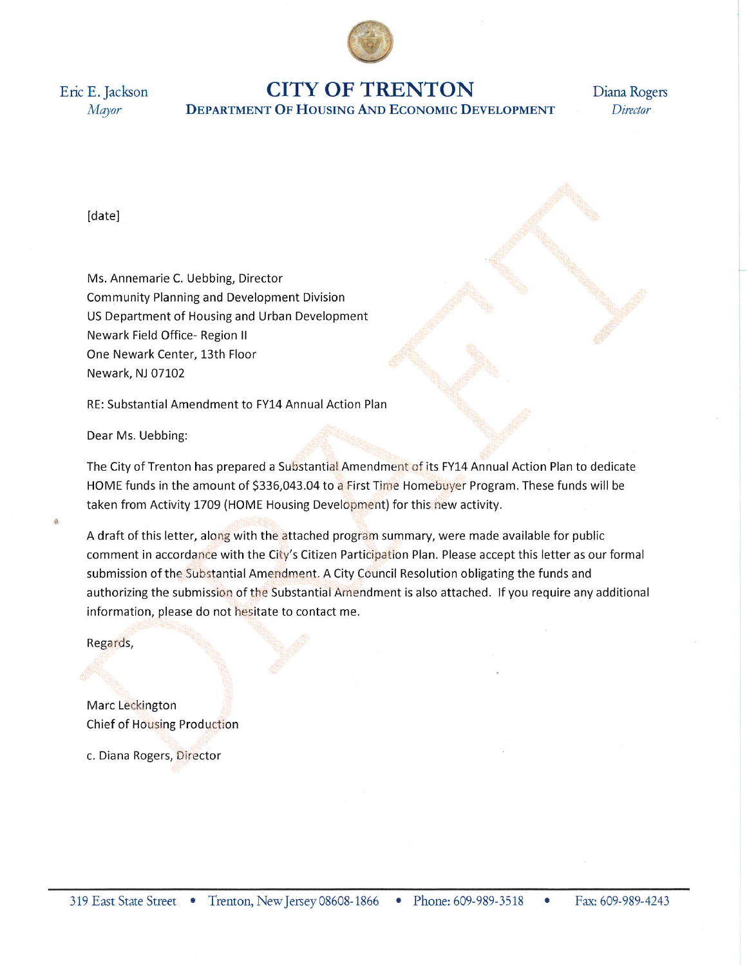

Eric E. Jackson Mayor

# **CITY OF TRENTON DEPARTMENT OF HOUSING AND ECONOMIC DEVELOPMENT**

Diana Rogers Director

[date]

Ms. Annemarie C. Uebbing, Director **Community Planning and Development Division** US Department of Housing and Urban Development Newark Field Office- Region II One Newark Center, 13th Floor Newark, NJ 07102

RE: Substantial Amendment to FY14 Annual Action Plan

Dear Ms. Uebbing:

The City of Trenton has prepared a Substantial Amendment of its FY14 Annual Action Plan to dedicate HOME funds in the amount of \$336,043.04 to a First Time Homebuyer Program. These funds will be taken from Activity 1709 (HOME Housing Development) for this new activity.

A draft of this letter, along with the attached program summary, were made available for public comment in accordance with the City's Citizen Participation Plan. Please accept this letter as our formal submission of the Substantial Amendment. A City Council Resolution obligating the funds and authorizing the submission of the Substantial Amendment is also attached. If you require any additional information, please do not hesitate to contact me.

Regards,

Marc Leckington Chief of Housing Production

c. Diana Rogers, Director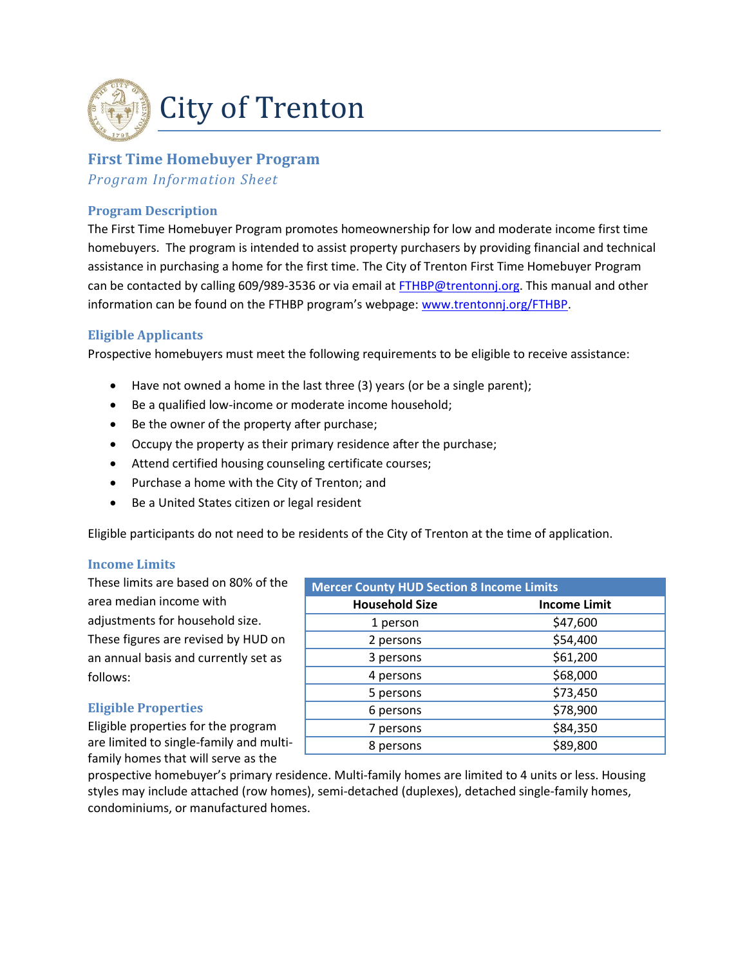

# **First Time Homebuyer Program**

*Program Information Sheet*

## **Program Description**

The First Time Homebuyer Program promotes homeownership for low and moderate income first time homebuyers. The program is intended to assist property purchasers by providing financial and technical assistance in purchasing a home for the first time. The City of Trenton First Time Homebuyer Program can be contacted by calling 609/989-3536 or via email at [FTHBP@trentonnj.org.](mailto:FTHBP@trentonnj.org) This manual and other information can be found on the FTHBP program's webpage: [www.trentonnj.org/FTHBP.](http://www.trentonnj.org/FTHBP)

# **Eligible Applicants**

Prospective homebuyers must meet the following requirements to be eligible to receive assistance:

- Have not owned a home in the last three (3) years (or be a single parent);
- Be a qualified low-income or moderate income household;
- Be the owner of the property after purchase;
- Occupy the property as their primary residence after the purchase;
- Attend certified housing counseling certificate courses;
- Purchase a home with the City of Trenton; and
- Be a United States citizen or legal resident

Eligible participants do not need to be residents of the City of Trenton at the time of application.

## **Income Limits**

These limits are based on 80% of the area median income with adjustments for household size. These figures are revised by HUD on an annual basis and currently set as follows:

## **Eligible Properties**

Eligible properties for the program are limited to single-family and multifamily homes that will serve as the

| <b>Mercer County HUD Section 8 Income Limits</b> |                     |
|--------------------------------------------------|---------------------|
| <b>Household Size</b>                            | <b>Income Limit</b> |
| 1 person                                         | \$47,600            |
| 2 persons                                        | \$54,400            |
| 3 persons                                        | \$61,200            |
| 4 persons                                        | \$68,000            |
| 5 persons                                        | \$73,450            |
| 6 persons                                        | \$78,900            |
| 7 persons                                        | \$84,350            |
| 8 persons                                        | \$89,800            |

prospective homebuyer's primary residence. Multi-family homes are limited to 4 units or less. Housing styles may include attached (row homes), semi-detached (duplexes), detached single-family homes, condominiums, or manufactured homes.